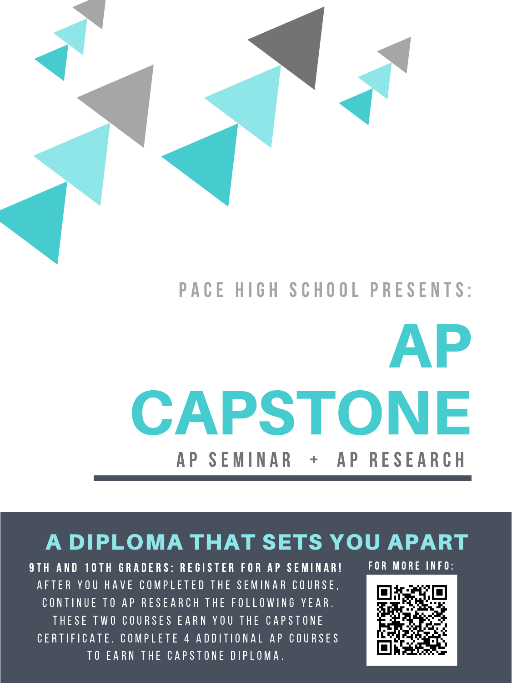

### P A C E H I G H S C H O O L P R E S E N T S :



## CAPSTONE AP SEMINAR + AP RESEARCH

### A DIPLOMA THAT SETS YOU APART

9 TH AND 10 TH GRADERS: REGISTER FOR AP SEMINAR! A F T E R Y OU H A V E C O M P L E T E D T H E S E M I N A R C O U R S E, CONTINUE TO AP RESEARCH THE FOLLOWING YEAR. THESE TWO COURSES EARN YOU THE CAPSTONE CERTIFICATE. COMPLETE 4 ADDITIONAL AP COURSES TO EARN THE CAPSTONE DIPLOMA.

FOR MORE INFO:

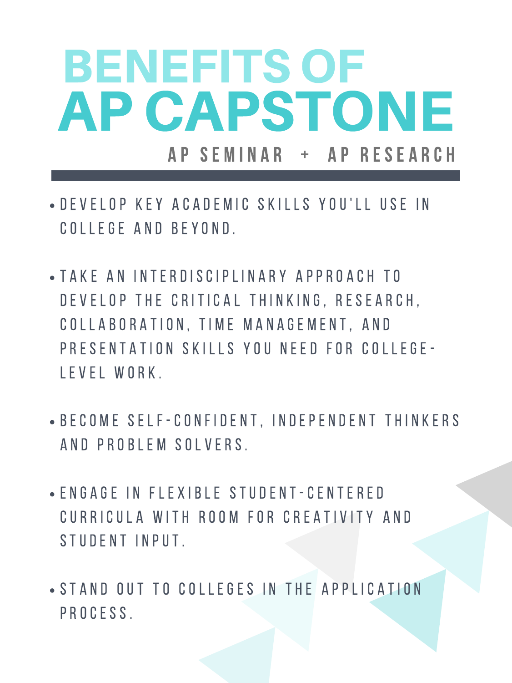## BENEFITS OF A P S E M I N A R + A P R E S E A R C H AP CAPSTONE

- **DEVELOP KEY ACADEMIC SKILLS YOU'LL USE IN** C O L L E G E A N D B E Y O N D .
- T A K E A N I N T E R D I S C I P L I N A R Y A P P R O A C H T O DEVELOP THE CRITICAL THINKING, RESEARCH, C O L L A B O R A T I O N , T I M E M A N A G E M E N T , A N D PRESENTATION SKILLS YOU NEED FOR COLLEGE-

#### LEVEL WORK.

- **B E COME SELF-CONFIDENT, INDEPENDENT THINKERS** A N D P R O B L E M S O L V E R S.
- E N G A G E I N F L E X I B L E S T U D E N T C E N T E R E D CURRICULA WITH ROOM FOR CREATIVITY AND STUDENT INPUT.
- STAND OUT TO COLLEGES IN THE APPLICATION P R O C E S S.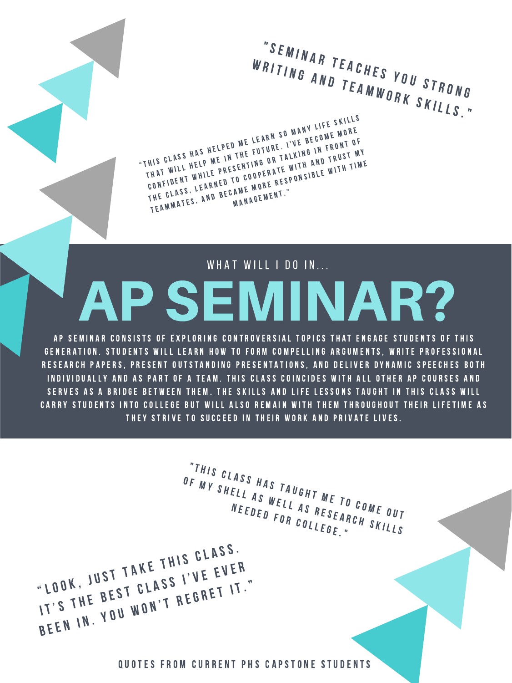AP SEMINAR CONSISTS OF EXPLORING CONTROVERSIAL TOPICS THAT ENGAGE STUDENTS OF THIS GENERATION. STUDENTS WILL LEARN HOW TO FORM COMPELLING ARGUMENTS, WRITE PROFESSIONAL

# AP SEMINAR?

#### WHAT WILL I DO IN...

" S E M I N A R T E A C H E S Y O U S T R O N G<br>R I T I N G A N D T E A M W O P V S T R O N G WRITING AND TEACHES YOU STRON "THIS CLASS HAS HELPED ME LEARN SO MANY LIFE SKILLS<br>THIS CLASS HAS HELPED ME LEARN SO MANY LIFE MORE<br>THIS CLASS HAS HELPED ME LEARN SO MANY LIFE SKILLS HIS CLASS HAS HELPED ME LEARN SO MANY LINE MORE<br>THAT WILL HELP ME IN THE FUTURE. I'VE BECOME MORE<br>THAT WILL HELP ME IN THE FUTURE. WITH AND TRUST N HIS CLASS HAS HELPED ME LEATHE. I'VE BELOWERDNT OF<br>CONFIDENT WHILE PRESENTING OR TALKING IN FRUST MY<br>CONFIDENT WHILE PRESENTING OR TALKING IN TRUST MY THAT WILL HELP ML ...<br>CONFIDENT WHILE PRESENTING ON E WITH AND ....<br>CONFIDENT WHILE PRESENTING ONE RESPONSIBLE WITH TIME<br>THE CLASS, LEARNED TO COOPERATE RESPONSIBLE WITH TIME TEAMMATES, A M E M E M E N T ."<br>M A N A G E M E N T ."

"THIS CLASS HAS TAUGHT ME TO COME OUT<br>F MY SHELL AS WELL AS RESEARCHE OUT OF MY SHELL AS MAS TAUGHT ME TO COME OUT<br>NEEDED FOR COLLEGE."<br>NEEDED FOR COLLEGE." " <sup>L</sup> <sup>O</sup> <sup>O</sup> <sup>K</sup> , JUST TAKE THIS CLASS. LOOK, JUST TAKE INIS LIER<br>IT'S THE BEST CLASS I'VE EVER BEEN IN. Y <sup>O</sup> <sup>U</sup> <sup>W</sup> <sup>O</sup> <sup>N</sup> ' <sup>T</sup> <sup>R</sup> <sup>E</sup> <sup>G</sup> <sup>R</sup> <sup>E</sup> <sup>T</sup> <sup>I</sup> <sup>T</sup> . "

#### QUOTES FROM CURRENT PHS CAPSTONE STUDENTS

"

RESEARCH PAPERS, PRESENT OUTSTANDING PRESENTATIONS, AND DELIVER DYNAMIC SPEECHES BOTH IN DIVIDUALLY AND AS PART OF A TEAM. THIS CLASS COINCIDES WITH ALL OTHER AP COURSES AND SERVES AS A BRIDGE BETWEEN THEM. THE SKILLS AND LIFE LESSONS TAUGHT IN THIS CLASS WILL CARRY STUDENTS INTO COLLEGE BUT WILL ALSO REMAIN WITH THEM THROUGHOUT THEIR LIFETIME AS THEY STRIVE TO SUCCEED IN THEIR WORK AND PRIVATE LIVES.